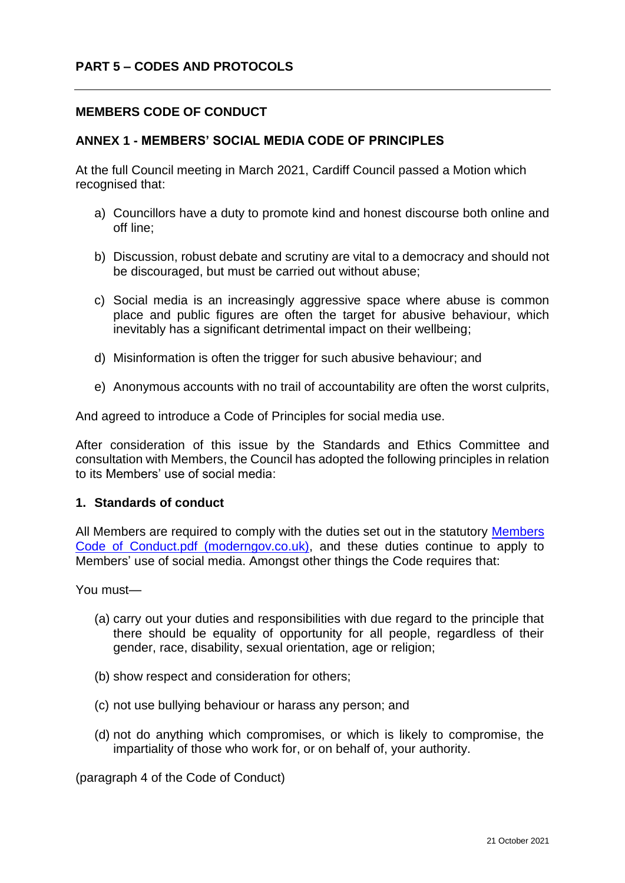## **MEMBERS CODE OF CONDUCT**

#### **ANNEX 1 - MEMBERS' SOCIAL MEDIA CODE OF PRINCIPLES**

At the full Council meeting in March 2021, Cardiff Council passed a Motion which recognised that:

- a) Councillors have a duty to promote kind and honest discourse both online and off line;
- b) Discussion, robust debate and scrutiny are vital to a democracy and should not be discouraged, but must be carried out without abuse;
- c) Social media is an increasingly aggressive space where abuse is common place and public figures are often the target for abusive behaviour, which inevitably has a significant detrimental impact on their wellbeing;
- d) Misinformation is often the trigger for such abusive behaviour; and
- e) Anonymous accounts with no trail of accountability are often the worst culprits,

And agreed to introduce a Code of Principles for social media use.

After consideration of this issue by the Standards and Ethics Committee and consultation with Members, the Council has adopted the following principles in relation to its Members' use of social media:

## **1. Standards of conduct**

All Members are required to comply with the duties set out in the statutory [Members](https://cardiff.moderngov.co.uk/documents/s50852/Members%20Code%20of%20Conduct.pdf?LLL=0)  [Code of Conduct.pdf \(moderngov.co.uk\),](https://cardiff.moderngov.co.uk/documents/s50852/Members%20Code%20of%20Conduct.pdf?LLL=0) and these duties continue to apply to Members' use of social media. Amongst other things the Code requires that:

You must—

- (a) carry out your duties and responsibilities with due regard to the principle that there should be equality of opportunity for all people, regardless of their gender, race, disability, sexual orientation, age or religion;
- (b) show respect and consideration for others;
- (c) not use bullying behaviour or harass any person; and
- (d) not do anything which compromises, or which is likely to compromise, the impartiality of those who work for, or on behalf of, your authority.

(paragraph 4 of the Code of Conduct)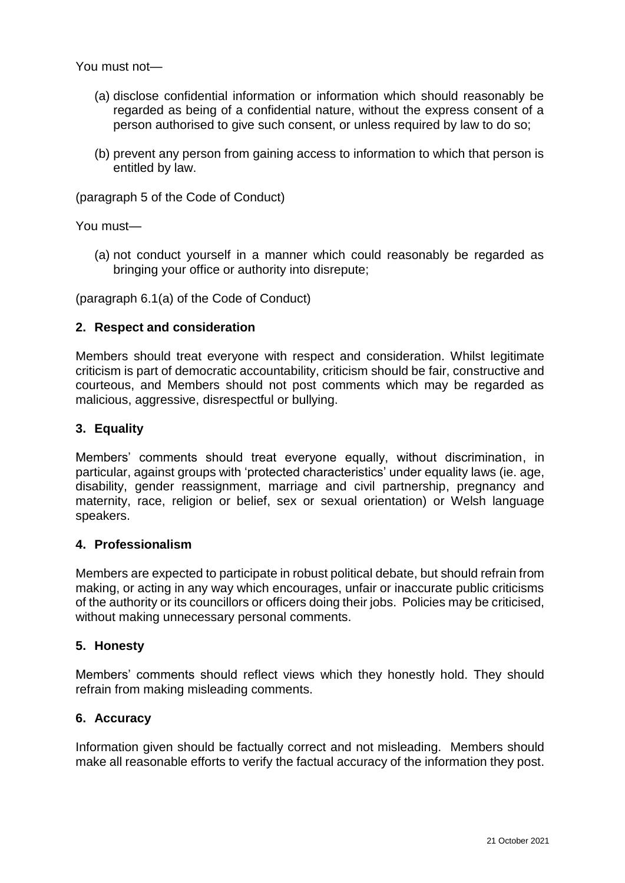You must not—

- (a) disclose confidential information or information which should reasonably be regarded as being of a confidential nature, without the express consent of a person authorised to give such consent, or unless required by law to do so;
- (b) prevent any person from gaining access to information to which that person is entitled by law.

(paragraph 5 of the Code of Conduct)

You must—

(a) not conduct yourself in a manner which could reasonably be regarded as bringing your office or authority into disrepute;

(paragraph 6.1(a) of the Code of Conduct)

#### **2. Respect and consideration**

Members should treat everyone with respect and consideration. Whilst legitimate criticism is part of democratic accountability, criticism should be fair, constructive and courteous, and Members should not post comments which may be regarded as malicious, aggressive, disrespectful or bullying.

### **3. Equality**

Members' comments should treat everyone equally, without discrimination, in particular, against groups with 'protected characteristics' under equality laws (ie. [age,](https://www.equalityhumanrights.com/en/equality-act/protected-characteristics#age) [disability,](https://www.equalityhumanrights.com/en/equality-act/protected-characteristics#disability) [gender reassignment,](https://www.equalityhumanrights.com/en/equality-act/protected-characteristics#reassignment) [marriage and civil partnership,](https://www.equalityhumanrights.com/en/equality-act/protected-characteristics#marriage) [pregnancy and](https://www.equalityhumanrights.com/en/equality-act/protected-characteristics#pregmat)  [maternity,](https://www.equalityhumanrights.com/en/equality-act/protected-characteristics#pregmat) [race,](https://www.equalityhumanrights.com/en/equality-act/protected-characteristics#race) [religion or belief,](https://www.equalityhumanrights.com/en/equality-act/protected-characteristics#rob) [sex](https://www.equalityhumanrights.com/en/equality-act/protected-characteristics#sex) or [sexual orientation\)](https://www.equalityhumanrights.com/en/equality-act/protected-characteristics#lgb) or Welsh language speakers.

#### **4. Professionalism**

Members are expected to participate in robust political debate, but should refrain from making, or acting in any way which encourages, unfair or inaccurate public criticisms of the authority or its councillors or officers doing their jobs. Policies may be criticised, without making unnecessary personal comments.

#### **5. Honesty**

Members' comments should reflect views which they honestly hold. They should refrain from making misleading comments.

#### **6. Accuracy**

Information given should be factually correct and not misleading. Members should make all reasonable efforts to verify the factual accuracy of the information they post.